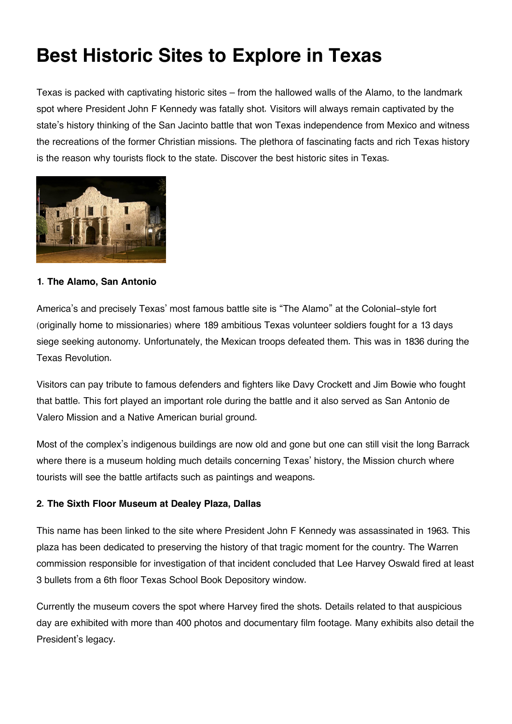# **Best Historic Sites to Explore in Texas**

Texas is packed with captivating historic sites – from the hallowed walls of the Alamo, to the landmark spot where President John F Kennedy was fatally shot. Visitors will always remain captivated by the state's history thinking of the San Jacinto battle that won Texas independence from Mexico and witness the recreations of the former Christian missions. The plethora of fascinating facts and rich Texas history is the reason why tourists flock to the state. Discover the best historic sites in Texas.



### **1. The Alamo, San Antonio**

America's and precisely Texas' most famous battle site is "The Alamo" at the Colonial-style fort (originally home to missionaries) where 189 ambitious Texas volunteer soldiers fought for a 13 days siege seeking autonomy. Unfortunately, the Mexican troops defeated them. This was in 1836 during the Texas Revolution.

Visitors can pay tribute to famous defenders and fighters like Davy Crockett and Jim Bowie who fought that battle. This fort played an important role during the battle and it also served as San Antonio de Valero Mission and a Native American burial ground.

Most of the complex's indigenous buildings are now old and gone but one can still visit the long Barrack where there is a museum holding much details concerning Texas' history, the Mission church where tourists will see the battle artifacts such as paintings and weapons.

## **2. The Sixth Floor Museum at Dealey Plaza, Dallas**

This name has been linked to the site where President John F Kennedy was assassinated in 1963. This plaza has been dedicated to preserving the history of that tragic moment for the country. The Warren commission responsible for investigation of that incident concluded that Lee Harvey Oswald fired at least 3 bullets from a 6th floor Texas School Book Depository window.

Currently the museum covers the spot where Harvey fired the shots. Details related to that auspicious day are exhibited with more than 400 photos and documentary film footage. Many exhibits also detail the President's legacy.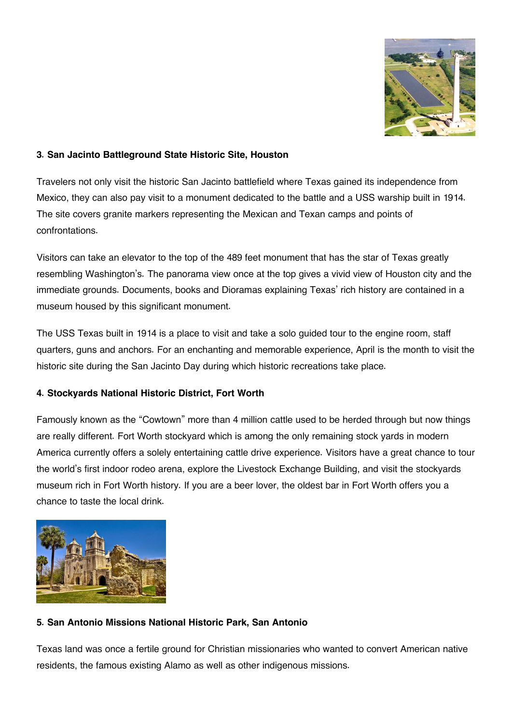

## **3. San Jacinto Battleground State Historic Site, Houston**

Travelers not only visit the historic San Jacinto battlefield where Texas gained its independence from Mexico, they can also pay visit to a monument dedicated to the battle and a USS warship built in 1914. The site covers granite markers representing the Mexican and Texan camps and points of confrontations.

Visitors can take an elevator to the top of the 489 feet monument that has the star of Texas greatly resembling Washington's. The panorama view once at the top gives a vivid view of Houston city and the immediate grounds. Documents, books and Dioramas explaining Texas' rich history are contained in a museum housed by this significant monument.

The USS Texas built in 1914 is a place to visit and take a solo guided tour to the engine room, staff quarters, guns and anchors. For an enchanting and memorable experience, April is the month to visit the historic site during the San Jacinto Day during which historic recreations take place.

#### **4. Stockyards National Historic District, Fort Worth**

Famously known as the "Cowtown" more than 4 million cattle used to be herded through but now things are really different. Fort Worth stockyard which is among the only remaining stock yards in modern America currently offers a solely entertaining cattle drive experience. Visitors have a great chance to tour the world's first indoor rodeo arena, explore the Livestock Exchange Building, and visit the stockyards museum rich in Fort Worth history. If you are a beer lover, the oldest bar in Fort Worth offers you a chance to taste the local drink.



#### **5. San Antonio Missions National Historic Park, San Antonio**

Texas land was once a fertile ground for Christian missionaries who wanted to convert American native residents, the famous existing Alamo as well as other indigenous missions.